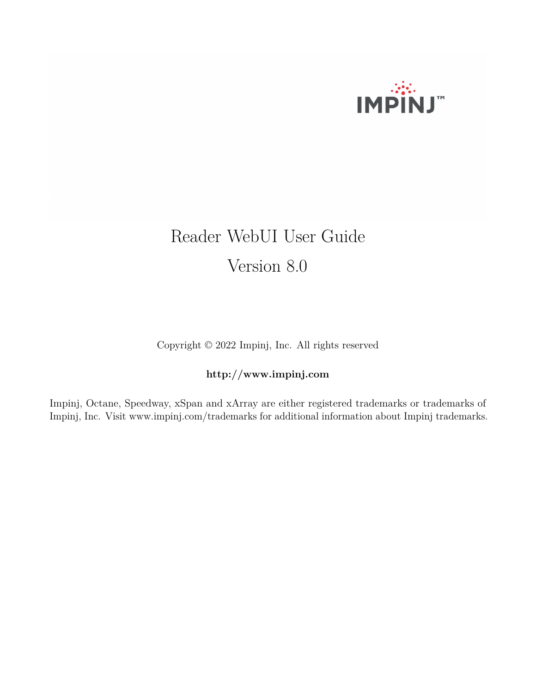

# Reader WebUI User Guide Version 8.0

Copyright © 2022 Impinj, Inc. All rights reserved

# **http://www.impinj.com**

Impinj, Octane, Speedway, xSpan and xArray are either registered trademarks or trademarks of Impinj, Inc. Visit www.impinj.com/trademarks for additional information about Impinj trademarks.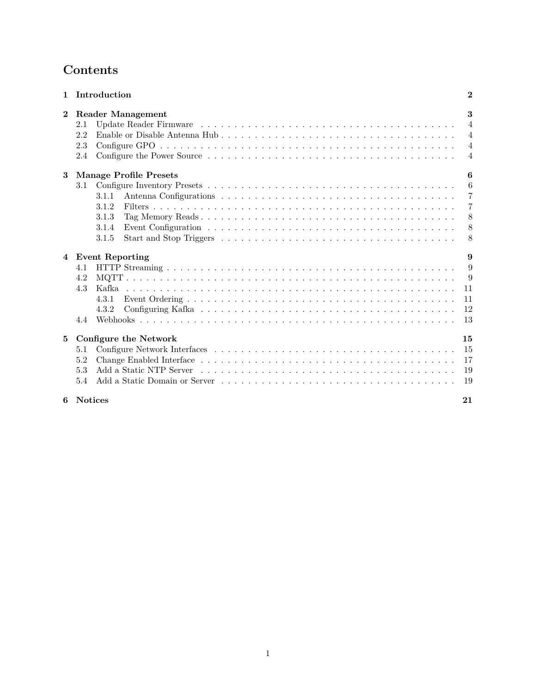# <span id="page-1-0"></span>**Contents**

| $\mathbf{1}$    | Introduction                                                                                                       | $\mathbf{2}$   |  |  |  |  |  |  |  |  |  |  |
|-----------------|--------------------------------------------------------------------------------------------------------------------|----------------|--|--|--|--|--|--|--|--|--|--|
| $\overline{2}$  | <b>Reader Management</b>                                                                                           | 3              |  |  |  |  |  |  |  |  |  |  |
|                 | 2.1                                                                                                                | $\overline{4}$ |  |  |  |  |  |  |  |  |  |  |
|                 | 2.2<br>$\overline{4}$                                                                                              |                |  |  |  |  |  |  |  |  |  |  |
|                 | 2.3                                                                                                                | $\overline{4}$ |  |  |  |  |  |  |  |  |  |  |
|                 | 2.4                                                                                                                | $\overline{4}$ |  |  |  |  |  |  |  |  |  |  |
| 3               | <b>Manage Profile Presets</b>                                                                                      | 6              |  |  |  |  |  |  |  |  |  |  |
|                 | $3.1\,$                                                                                                            | 6              |  |  |  |  |  |  |  |  |  |  |
|                 | 3.1.1                                                                                                              | $\overline{7}$ |  |  |  |  |  |  |  |  |  |  |
|                 | 3.1.2                                                                                                              | $\overline{7}$ |  |  |  |  |  |  |  |  |  |  |
|                 | 3.1.3                                                                                                              | 8              |  |  |  |  |  |  |  |  |  |  |
|                 | Event Configuration $\ldots \ldots \ldots \ldots \ldots \ldots \ldots \ldots \ldots \ldots \ldots \ldots$<br>3.1.4 | 8              |  |  |  |  |  |  |  |  |  |  |
|                 | 3.1.5                                                                                                              | 8              |  |  |  |  |  |  |  |  |  |  |
| 4               | <b>Event Reporting</b>                                                                                             | 9              |  |  |  |  |  |  |  |  |  |  |
|                 | 4.1                                                                                                                | 9              |  |  |  |  |  |  |  |  |  |  |
|                 | 4.2                                                                                                                | 9              |  |  |  |  |  |  |  |  |  |  |
|                 | 4.3                                                                                                                | 11             |  |  |  |  |  |  |  |  |  |  |
|                 | 4.3.1                                                                                                              | 11             |  |  |  |  |  |  |  |  |  |  |
|                 | 4.3.2                                                                                                              | 12             |  |  |  |  |  |  |  |  |  |  |
|                 | 4.4                                                                                                                | 13             |  |  |  |  |  |  |  |  |  |  |
| $5\phantom{.0}$ | Configure the Network                                                                                              | 15             |  |  |  |  |  |  |  |  |  |  |
|                 | 5.1                                                                                                                | 15             |  |  |  |  |  |  |  |  |  |  |
|                 | 5.2                                                                                                                | 17             |  |  |  |  |  |  |  |  |  |  |
|                 | 5.3                                                                                                                | 19             |  |  |  |  |  |  |  |  |  |  |
|                 | 5.4                                                                                                                | 19             |  |  |  |  |  |  |  |  |  |  |
| 6               | Notices                                                                                                            | 21             |  |  |  |  |  |  |  |  |  |  |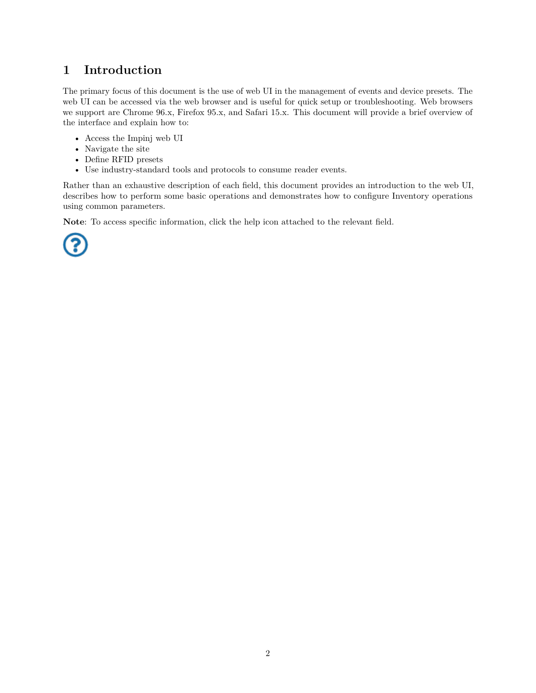# <span id="page-2-0"></span>**1 Introduction**

The primary focus of this document is the use of web UI in the management of events and device presets. The web UI can be accessed via the web browser and is useful for quick setup or troubleshooting. Web browsers we support are Chrome 96.x, Firefox 95.x, and Safari 15.x. This document will provide a brief overview of the interface and explain how to:

- Access the Impinj web UI
- Navigate the site
- Define RFID presets
- Use industry-standard tools and protocols to consume reader events.

Rather than an exhaustive description of each field, this document provides an introduction to the web UI, describes how to perform some basic operations and demonstrates how to configure Inventory operations using common parameters.

**Note**: To access specific information, click the help icon attached to the relevant field.

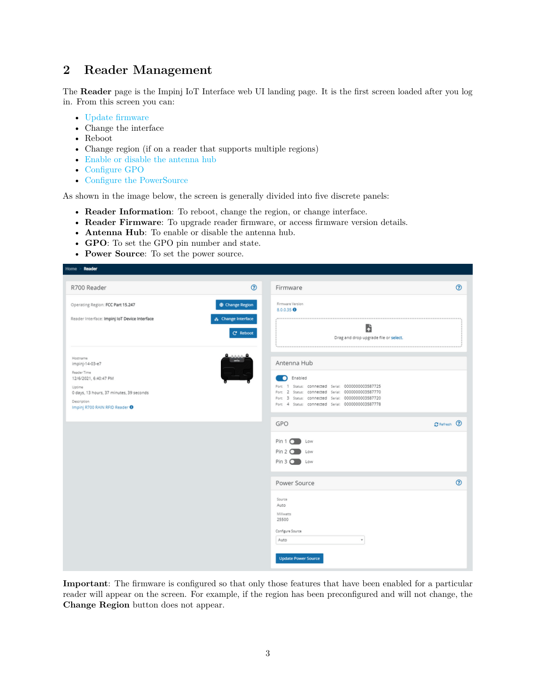# <span id="page-3-0"></span>**2 Reader Management**

The **Reader** page is the Impinj IoT Interface web UI landing page. It is the first screen loaded after you log in. From this screen you can:

- Update firmware
- Change the interface
- Reboot
- Change region (if on a reader that supports multiple regions)
- [Enable or disable the antenna hub](#page-4-0)
- [Configure GPO](#page-4-0)
- [Configure the PowerSource](#page-4-0)

As shown in the image below, the screen is generally divided into five discrete panels:

- **Reader Information**: To reboot, change the region, or change interface.
- **Reader Firmware**: To upgrade reader firmware, or access firmware version details.
- **Antenna Hub**: To enable or disable the antenna hub.
- **GPO**: To set the GPO pin number and state.
- **Power Source**: To set the power source.

| R700 Reader                                                                                                                                                                           | $^{\circ}$<br>Firmware                                                                                                                                                                                                                                     | $\odot$                                    |
|---------------------------------------------------------------------------------------------------------------------------------------------------------------------------------------|------------------------------------------------------------------------------------------------------------------------------------------------------------------------------------------------------------------------------------------------------------|--------------------------------------------|
| Operating Region: FCC Part 15.247<br>Reader Interface: Impinj IoT Device Interface                                                                                                    | Firmware Version<br><b>D</b> Change Region<br>8.0.0.35 $\Theta$<br>& Change Interface<br>C <sup>*</sup> Reboot                                                                                                                                             | b<br>Drag and drop upgrade file or select. |
| Hostname<br>impinj-14-03-e7<br>Reader Time<br>12/6/2021, 6:40:47 PM<br>Uptime<br>0 days, 13 hours, 37 minutes, 39 seconds<br>Description<br>Impinj R700 RAIN RFID Reader <sup>O</sup> | Antenna Hub<br><b>C</b> Enabled<br>1 Status: connected Serial: 0000000003587725<br>Port:<br>Port: 2 Status: connected Serial: 0000000003587770<br>Port: 3 Status: connected Serial: 0000000003587720<br>Port: 4 Status: connected Serial: 0000000003587778 |                                            |
|                                                                                                                                                                                       | GPO<br>$Pin 1$ $\Box$ Low<br>Pin 2 O Low<br>Pin 3 0 Low                                                                                                                                                                                                    | C Refresh 2                                |
|                                                                                                                                                                                       | Power Source<br>Source<br>Auto<br>Milliwatts<br>25500<br>Configure Source<br>Auto<br><b>Update Power Source</b>                                                                                                                                            | $^{\circ}$<br>$\boldsymbol{\mathrm{v}}$    |

**Important**: The firmware is configured so that only those features that have been enabled for a particular reader will appear on the screen. For example, if the region has been preconfigured and will not change, the **Change Region** button does not appear.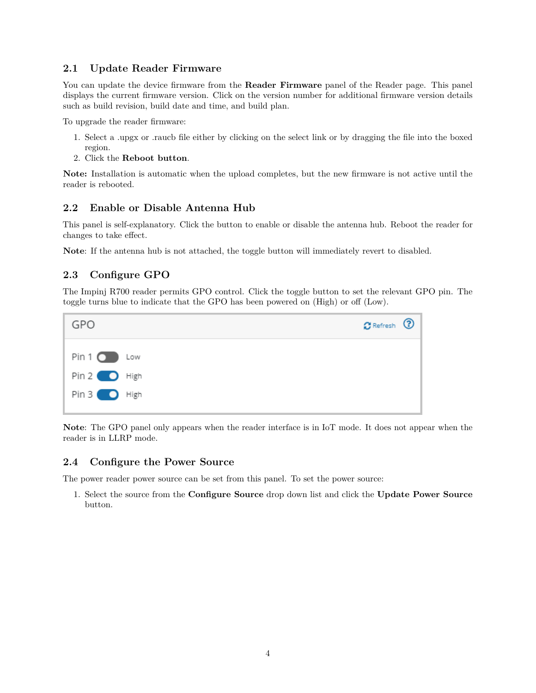### <span id="page-4-0"></span>**2.1 Update Reader Firmware**

You can update the device firmware from the **Reader Firmware** panel of the Reader page. This panel displays the current firmware version. Click on the version number for additional firmware version details such as build revision, build date and time, and build plan.

To upgrade the reader firmware:

- 1. Select a .upgx or .raucb file either by clicking on the select link or by dragging the file into the boxed region.
- 2. Click the **Reboot button**.

**Note:** Installation is automatic when the upload completes, but the new firmware is not active until the reader is rebooted.

### **2.2 Enable or Disable Antenna Hub**

This panel is self-explanatory. Click the button to enable or disable the antenna hub. Reboot the reader for changes to take effect.

**Note**: If the antenna hub is not attached, the toggle button will immediately revert to disabled.

# **2.3 Configure GPO**

The Impinj R700 reader permits GPO control. Click the toggle button to set the relevant GPO pin. The toggle turns blue to indicate that the GPO has been powered on (High) or off (Low).



**Note**: The GPO panel only appears when the reader interface is in IoT mode. It does not appear when the reader is in LLRP mode.

### **2.4 Configure the Power Source**

The power reader power source can be set from this panel. To set the power source:

1. Select the source from the **Configure Source** drop down list and click the **Update Power Source** button.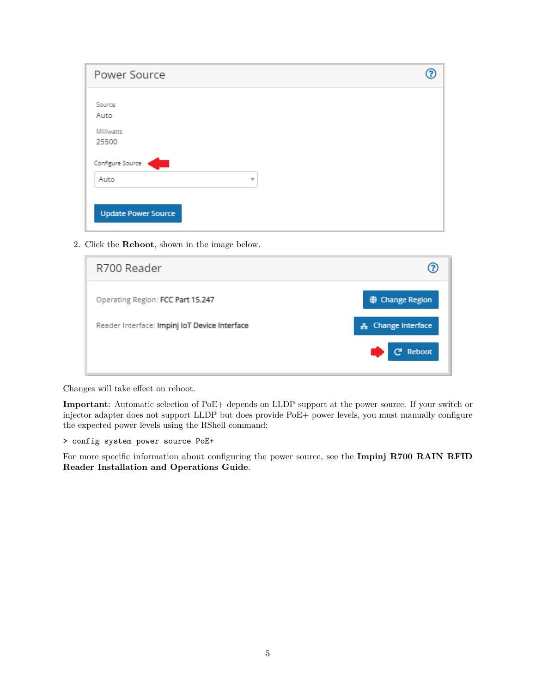<span id="page-5-0"></span>

| Power Source               |  |
|----------------------------|--|
| Source                     |  |
| Auto                       |  |
| Milliwatts                 |  |
| 25500                      |  |
| Configure Source           |  |
| Auto<br>Ψ                  |  |
|                            |  |
|                            |  |
| <b>Update Power Source</b> |  |

2. Click the **Reboot**, shown in the image below.

| R700 Reader                                   |                              |
|-----------------------------------------------|------------------------------|
| Operating Region: FCC Part 15.247             | <b>O</b> Change Region       |
| Reader Interface: Impinj IoT Device Interface | <b>Change Interface</b><br>옮 |
|                                               | ල Reboot                     |

Changes will take effect on reboot.

**Important**: Automatic selection of PoE+ depends on LLDP support at the power source. If your switch or injector adapter does not support LLDP but does provide PoE+ power levels, you must manually configure the expected power levels using the RShell command:

> config system power source PoE+

For more specific information about configuring the power source, see the **Impinj R700 RAIN RFID Reader Installation and Operations Guide**.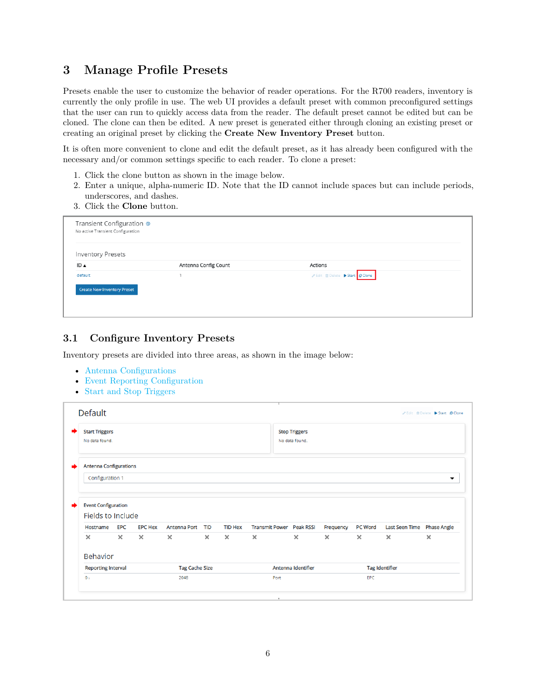# <span id="page-6-0"></span>**3 Manage Profile Presets**

Presets enable the user to customize the behavior of reader operations. For the R700 readers, inventory is currently the only profile in use. The web UI provides a default preset with common preconfigured settings that the user can run to quickly access data from the reader. The default preset cannot be edited but can be cloned. The clone can then be edited. A new preset is generated either through cloning an existing preset or creating an original preset by clicking the **Create New Inventory Preset** button.

It is often more convenient to clone and edit the default preset, as it has already been configured with the necessary and/or common settings specific to each reader. To clone a preset:

- 1. Click the clone button as shown in the image below.
- 2. Enter a unique, alpha-numeric ID. Note that the ID cannot include spaces but can include periods, underscores, and dashes.
- 3. Click the **Clone** button.

| Transient Configuration ®<br>No active Transient Configuration |                      |                                                      |  |
|----------------------------------------------------------------|----------------------|------------------------------------------------------|--|
| <b>Inventory Presets</b>                                       |                      |                                                      |  |
| ID ▲                                                           | Antenna Config Count | Actions                                              |  |
| default                                                        |                      | <b>/</b> Edit <b>B</b> Delete ▶ Start <b>D</b> Clone |  |
| <b>Create New Inventory Preset</b>                             |                      |                                                      |  |
|                                                                |                      |                                                      |  |
|                                                                |                      |                                                      |  |

### **3.1 Configure Inventory Presets**

Inventory presets are divided into three areas, as shown in the image below:

- Antenna Configurations
- [Event Reporting Configuration](#page-1-0)
- [Start and Stop Triggers](#page-8-0)

| <b>Start Triggers</b>                                       |          |                |                       |            |                |          | <b>Stop Triggers</b>            |           |                |                            |          |
|-------------------------------------------------------------|----------|----------------|-----------------------|------------|----------------|----------|---------------------------------|-----------|----------------|----------------------------|----------|
| No data found.                                              |          |                |                       |            |                |          | No data found.                  |           |                |                            |          |
|                                                             |          |                |                       |            |                |          |                                 |           |                |                            |          |
| <b>Antenna Configurations</b>                               |          |                |                       |            |                |          |                                 |           |                |                            |          |
| Configuration 1                                             |          |                |                       |            |                |          |                                 |           |                |                            | ▼        |
|                                                             |          |                |                       |            |                |          |                                 |           |                |                            |          |
|                                                             |          |                |                       |            |                |          |                                 |           |                |                            |          |
| <b>Event Configuration</b><br>Fields to Include<br>Hostname | EPC      | <b>EPC Hex</b> | Antenna Port          | <b>TID</b> | <b>TID Hex</b> |          | <b>Transmit Power</b> Peak RSSI | Frequency | <b>PC Word</b> | Last Seen Time Phase Angle |          |
| $\times$                                                    | $\times$ | $\times$       | $\times$              | $\times$   | $\times$       | $\times$ | $\times$                        | $\times$  | $\times$       | $\times$                   | $\times$ |
| <b>Behavior</b>                                             |          |                |                       |            |                |          |                                 |           |                |                            |          |
| <b>Reporting Interval</b>                                   |          |                | <b>Tag Cache Size</b> |            |                |          | Antenna Identifier              |           |                | <b>Tag Identifier</b>      |          |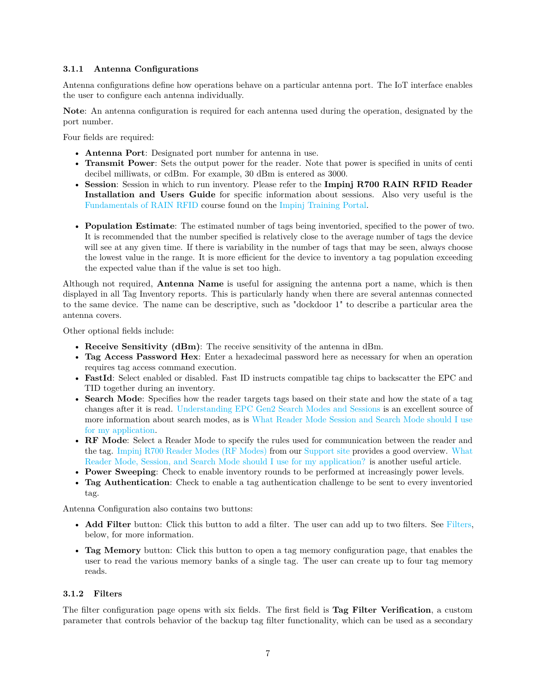#### <span id="page-7-0"></span>**3.1.1 Antenna Configurations**

Antenna configurations define how operations behave on a particular antenna port. The IoT interface enables the user to configure each antenna individually.

**Note**: An antenna configuration is required for each antenna used during the operation, designated by the port number.

Four fields are required:

- **Antenna Port**: Designated port number for antenna in use.
- **Transmit Power**: Sets the output power for the reader. Note that power is specified in units of centi decibel milliwats, or cdBm. For example, 30 dBm is entered as 3000.
- **Session**: Session in which to run inventory. Please refer to the **Impinj R700 RAIN RFID Reader Installation and Users Guide** for specific information about sessions. Also very useful is the [Fundamentals of RAIN RFID](https://learning.impinj.com/learn/course/internal/view/elearning/147/FundamentalsofRAINRFID) course found on the [Impinj Training Portal.](https://learning.impinj.com/)
- **Population Estimate**: The estimated number of tags being inventoried, specified to the power of two. It is recommended that the number specified is relatively close to the average number of tags the device will see at any given time. If there is variability in the number of tags that may be seen, always choose the lowest value in the range. It is more efficient for the device to inventory a tag population exceeding the expected value than if the value is set too high.

Although not required, **Antenna Name** is useful for assigning the antenna port a name, which is then displayed in all Tag Inventory reports. This is particularly handy when there are several antennas connected to the same device. The name can be descriptive, such as "dockdoor 1" to describe a particular area the antenna covers.

Other optional fields include:

- **Receive Sensitivity (dBm)**: The receive sensitivity of the antenna in dBm.
- **Tag Access Password Hex**: Enter a hexadecimal password here as necessary for when an operation requires tag access command execution.
- **FastId**: Select enabled or disabled. Fast ID instructs compatible tag chips to backscatter the EPC and TID together during an inventory.
- **Search Mode**: Specifies how the reader targets tags based on their state and how the state of a tag changes after it is read. [Understanding EPC Gen2 Search Modes and Sessions](https://support.impinj.com/hc/en-us/articles/202756158-Understanding-EPC-Gen2-Search-Modes-and-Sessions) is an excellent source of more information about search modes, as is [What Reader Mode Session and Search Mode should I use](https://support.impinj.com/hc/en-us/articles/360017167239-What-Reader-Mode-Session-and-Search-Mode-should-I-use-for-my-application-) [for my application.](https://support.impinj.com/hc/en-us/articles/360017167239-What-Reader-Mode-Session-and-Search-Mode-should-I-use-for-my-application-)
- **RF Mode**: Select a Reader Mode to specify the rules used for communication between the reader and the tag. [Impinj R700 Reader Modes \(RF Modes\)](https://support.impinj.com/hc/en-us/articles/1500003045181-Impinj-R700-Reader-Modes-RF-Modes-) from our [Support site](http://support.impinj.com) provides a good overview. [What](https://support.impinj.com/hc/en-us/articles/360017167239-What-Reader-Mode-Session-and-Search-Mode-should-I-use-for-my-application-) [Reader Mode, Session, and Search Mode should I use for my application?](https://support.impinj.com/hc/en-us/articles/360017167239-What-Reader-Mode-Session-and-Search-Mode-should-I-use-for-my-application-) is another useful article.
- **Power Sweeping**: Check to enable inventory rounds to be performed at increasingly power levels.
- **Tag Authentication**: Check to enable a tag authentication challenge to be sent to every inventoried tag.

Antenna Configuration also contains two buttons:

- **Add Filter** button: Click this button to add a filter. The user can add up to two filters. See [Filters,](#page-1-0) below, for more information.
- **Tag Memory** button: Click this button to open a tag memory configuration page, that enables the user to read the various memory banks of a single tag. The user can create up to four tag memory reads.

#### **3.1.2 Filters**

The filter configuration page opens with six fields. The first field is **Tag Filter Verification**, a custom parameter that controls behavior of the backup tag filter functionality, which can be used as a secondary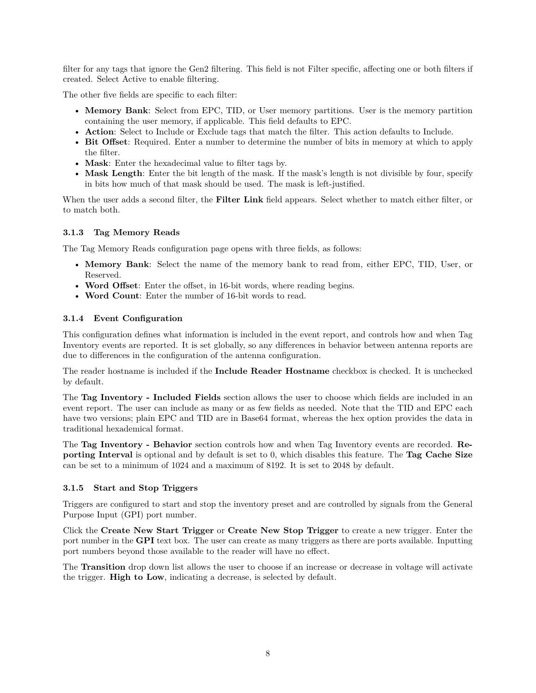<span id="page-8-0"></span>filter for any tags that ignore the Gen2 filtering. This field is not Filter specific, affecting one or both filters if created. Select Active to enable filtering.

The other five fields are specific to each filter:

- **Memory Bank**: Select from EPC, TID, or User memory partitions. User is the memory partition containing the user memory, if applicable. This field defaults to EPC.
- **Action**: Select to Include or Exclude tags that match the filter. This action defaults to Include.
- **Bit Offset**: Required. Enter a number to determine the number of bits in memory at which to apply the filter.
- **Mask**: Enter the hexadecimal value to filter tags by.
- **Mask Length**: Enter the bit length of the mask. If the mask's length is not divisible by four, specify in bits how much of that mask should be used. The mask is left-justified.

When the user adds a second filter, the **Filter Link** field appears. Select whether to match either filter, or to match both.

#### **3.1.3 Tag Memory Reads**

The Tag Memory Reads configuration page opens with three fields, as follows:

- **Memory Bank**: Select the name of the memory bank to read from, either EPC, TID, User, or Reserved.
- **Word Offset**: Enter the offset, in 16-bit words, where reading begins.
- **Word Count**: Enter the number of 16-bit words to read.

#### **3.1.4 Event Configuration**

This configuration defines what information is included in the event report, and controls how and when Tag Inventory events are reported. It is set globally, so any differences in behavior between antenna reports are due to differences in the configuration of the antenna configuration.

The reader hostname is included if the **Include Reader Hostname** checkbox is checked. It is unchecked by default.

The **Tag Inventory - Included Fields** section allows the user to choose which fields are included in an event report. The user can include as many or as few fields as needed. Note that the TID and EPC each have two versions; plain EPC and TID are in Base64 format, whereas the hex option provides the data in traditional hexademical format.

The **Tag Inventory - Behavior** section controls how and when Tag Inventory events are recorded. **Reporting Interval** is optional and by default is set to 0, which disables this feature. The **Tag Cache Size** can be set to a minimum of 1024 and a maximum of 8192. It is set to 2048 by default.

#### **3.1.5 Start and Stop Triggers**

Triggers are configured to start and stop the inventory preset and are controlled by signals from the General Purpose Input (GPI) port number.

Click the **Create New Start Trigger** or **Create New Stop Trigger** to create a new trigger. Enter the port number in the **GPI** text box. The user can create as many triggers as there are ports available. Inputting port numbers beyond those available to the reader will have no effect.

The **Transition** drop down list allows the user to choose if an increase or decrease in voltage will activate the trigger. **High to Low**, indicating a decrease, is selected by default.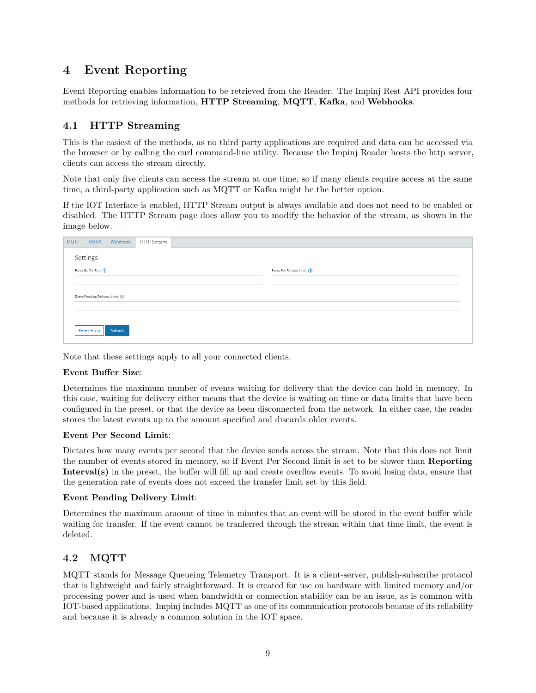# <span id="page-9-0"></span>**4 Event Reporting**

Event Reporting enables information to be retrieved from the Reader. The Impinj Rest API provides four methods for retrieving information, **HTTP Streaming**, **MQTT**, **Kafka**, and **Webhooks**.

### **4.1 HTTP Streaming**

This is the easiest of the methods, as no third party applications are required and data can be accessed via the browser or by calling the curl command-line utility. Because the Impinj Reader hosts the http server, clients can access the stream directly.

Note that only five clients can access the stream at one time, so if many clients require access at the same time, a third-party application such as MQTT or Kafka might be the better option.

If the IOT Interface is enabled, HTTP Stream output is always available and does not need to be enabled or disabled. The HTTP Stream page does allow you to modify the behavior of the stream, as shown in the image below.

| <b>MQTT</b> | <b>KAFKA</b>                     | Webhook | HTTP Stream |                            |
|-------------|----------------------------------|---------|-------------|----------------------------|
|             | Settings                         |         |             |                            |
|             | Event Buffer Size 2              |         |             | Event Per Second Limit (2) |
|             |                                  |         |             |                            |
|             | Event Pending Delivery Limit (2) |         |             |                            |
|             |                                  |         |             |                            |
|             |                                  |         |             |                            |
|             | Reset Form                       | Submit  |             |                            |

Note that these settings apply to all your connected clients.

#### **Event Buffer Size**:

Determines the maximum number of events waiting for delivery that the device can hold in memory. In this case, waiting for delivery either means that the device is waiting on time or data limits that have been configured in the preset, or that the device as been disconnected from the network. In either case, the reader stores the latest events up to the amount specified and discards older events.

#### **Event Per Second Limit**:

Dictates how many events per second that the device sends across the stream. Note that this does not limit the number of events stored in memory, so if Event Per Second limit is set to be slower than **Reporting Interval(s)** in the preset, the buffer will fill up and create overflow events. To avoid losing data, ensure that the generation rate of events does not exceed the transfer limit set by this field.

#### **Event Pending Delivery Limit**:

Determines the maximum amount of time in minutes that an event will be stored in the event buffer while waiting for transfer. If the event cannot be tranferred through the stream within that time limit, the event is deleted.

# **4.2 MQTT**

MQTT stands for Message Queueing Telemetry Transport. It is a client-server, publish-subscribe protocol that is lightweight and fairly straightforward. It is created for use on hardware with limited memory and/or processing power and is used when bandwidth or connection stability can be an issue, as is common with IOT-based applications. Impinj includes MQTT as one of its communication protocols because of its reliability and because it is already a common solution in the IOT space.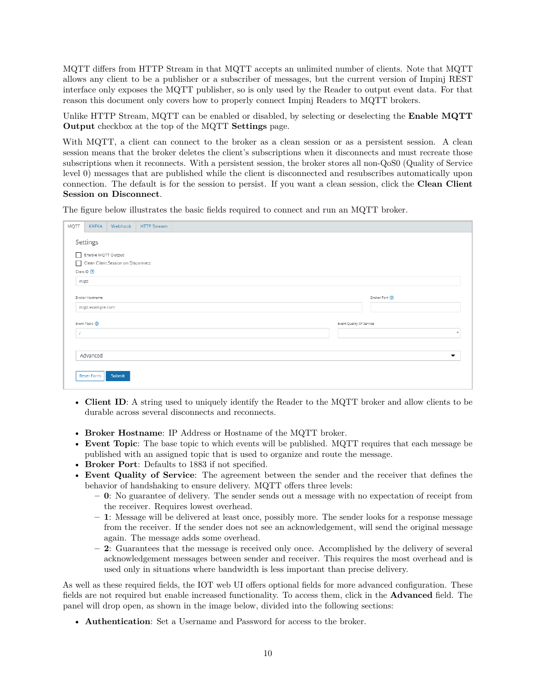MQTT differs from HTTP Stream in that MQTT accepts an unlimited number of clients. Note that MQTT allows any client to be a publisher or a subscriber of messages, but the current version of Impinj REST interface only exposes the MQTT publisher, so is only used by the Reader to output event data. For that reason this document only covers how to properly connect Impinj Readers to MQTT brokers.

Unlike HTTP Stream, MQTT can be enabled or disabled, by selecting or deselecting the **Enable MQTT Output** checkbox at the top of the MQTT **Settings** page.

With MQTT, a client can connect to the broker as a clean session or as a persistent session. A clean session means that the broker deletes the client's subscriptions when it disconnects and must recreate those subscriptions when it reconnects. With a persistent session, the broker stores all non-QoS0 (Quality of Service level 0) messages that are published while the client is disconnected and resubscribes automatically upon connection. The default is for the session to persist. If you want a clean session, click the **Clean Client Session on Disconnect**.

The figure below illustrates the basic fields required to connect and run an MQTT broker.

| MQTT | <b>KAFKA</b>                                               | Webhook                            | <b>HTTP Stream</b> |                          |                          |
|------|------------------------------------------------------------|------------------------------------|--------------------|--------------------------|--------------------------|
| mqtt | Settings<br>Enable MQTT Output<br>Client ID <sup>(2)</sup> | Clean Client Session on Disconnect |                    |                          |                          |
|      | Broker Hostname<br>mqtt.example.com                        |                                    |                    |                          | Broker Port (?)          |
|      | Event Topic (2)                                            |                                    |                    | Event Quality Of Service |                          |
|      |                                                            |                                    |                    |                          | $\mathbf{v}$             |
|      |                                                            |                                    |                    |                          |                          |
|      | Advanced                                                   |                                    |                    |                          | $\overline{\phantom{a}}$ |
|      | <b>Reset Form</b>                                          | Submit                             |                    |                          |                          |

- **Client ID**: A string used to uniquely identify the Reader to the MQTT broker and allow clients to be durable across several disconnects and reconnects.
- **Broker Hostname**: IP Address or Hostname of the MQTT broker.
- **Event Topic**: The base topic to which events will be published. MQTT requires that each message be published with an assigned topic that is used to organize and route the message.
- **Broker Port**: Defaults to 1883 if not specified.
- **Event Quality of Service**: The agreement between the sender and the receiver that defines the behavior of handshaking to ensure delivery. MQTT offers three levels:
	- **– 0**: No guarantee of delivery. The sender sends out a message with no expectation of receipt from the receiver. Requires lowest overhead.
	- **– 1**: Message will be delivered at least once, possibly more. The sender looks for a response message from the receiver. If the sender does not see an acknowledgement, will send the original message again. The message adds some overhead.
	- **– 2**: Guarantees that the message is received only once. Accomplished by the delivery of several acknowledgement messages between sender and receiver. This requires the most overhead and is used only in situations where bandwidth is less important than precise delivery.

As well as these required fields, the IOT web UI offers optional fields for more advanced configuration. These fields are not required but enable increased functionality. To access them, click in the **Advanced** field. The panel will drop open, as shown in the image below, divided into the following sections:

• **Authentication**: Set a Username and Password for access to the broker.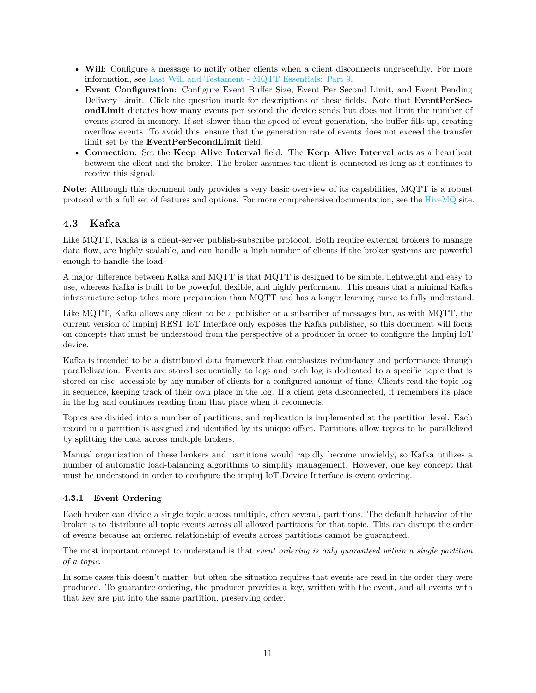- <span id="page-11-0"></span>• **Will**: Configure a message to notify other clients when a client disconnects ungracefully. For more information, see [Last Will and Testament - MQTT Essentials: Part 9.](https://www.hivemq.com/blog/mqtt-essentials-part-9-last-will-and-testament/)
- **Event Configuration**: Configure Event Buffer Size, Event Per Second Limit, and Event Pending Delivery Limit. Click the question mark for descriptions of these fields. Note that **EventPerSecondLimit** dictates how many events per second the device sends but does not limit the number of events stored in memory. If set slower than the speed of event generation, the buffer fills up, creating overflow events. To avoid this, ensure that the generation rate of events does not exceed the transfer limit set by the **EventPerSecondLimit** field.
- **Connection**: Set the **Keep Alive Interval** field. The **Keep Alive Interval** acts as a heartbeat between the client and the broker. The broker assumes the client is connected as long as it continues to receive this signal.

**Note**: Although this document only provides a very basic overview of its capabilities, MQTT is a robust protocol with a full set of features and options. For more comprehensive documentation, see the [HiveMQ](https://www.hivemq.com/mqtt-protocol/) site.

# **4.3 Kafka**

Like MQTT, Kafka is a client-server publish-subscribe protocol. Both require external brokers to manage data flow, are highly scalable, and can handle a high number of clients if the broker systems are powerful enough to handle the load.

A major difference between Kafka and MQTT is that MQTT is designed to be simple, lightweight and easy to use, whereas Kafka is built to be powerful, flexible, and highly performant. This means that a minimal Kafka infrastructure setup takes more preparation than MQTT and has a longer learning curve to fully understand.

Like MQTT, Kafka allows any client to be a publisher or a subscriber of messages but, as with MQTT, the current version of Impinj REST IoT Interface only exposes the Kafka publisher, so this document will focus on concepts that must be understood from the perspective of a producer in order to configure the Impinj IoT device.

Kafka is intended to be a distributed data framework that emphasizes redundancy and performance through parallelization. Events are stored sequentially to logs and each log is dedicated to a specific topic that is stored on disc, accessible by any number of clients for a configured amount of time. Clients read the topic log in sequence, keeping track of their own place in the log. If a client gets disconnected, it remembers its place in the log and continues reading from that place when it reconnects.

Topics are divided into a number of partitions, and replication is implemented at the partition level. Each record in a partition is assigned and identified by its unique offset. Partitions allow topics to be parallelized by splitting the data across multiple brokers.

Manual organization of these brokers and partitions would rapidly become unwieldy, so Kafka utilizes a number of automatic load-balancing algorithms to simplify management. However, one key concept that must be understood in order to configure the impinj IoT Device Interface is event ordering.

#### **4.3.1 Event Ordering**

Each broker can divide a single topic across multiple, often several, partitions. The default behavior of the broker is to distribute all topic events across all allowed partitions for that topic. This can disrupt the order of events because an ordered relationship of events across partitions cannot be guaranteed.

The most important concept to understand is that *event ordering is only guaranteed within a single partition of a topic*.

In some cases this doesn't matter, but often the situation requires that events are read in the order they were produced. To guarantee ordering, the producer provides a key, written with the event, and all events with that key are put into the same partition, preserving order.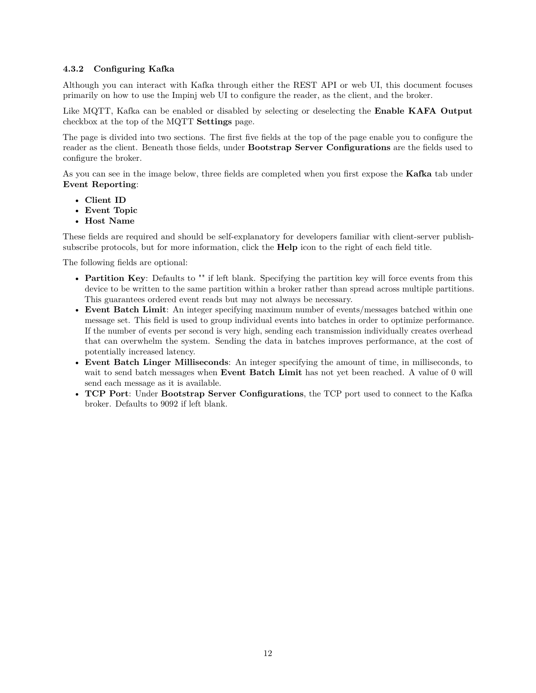#### **4.3.2 Configuring Kafka**

Although you can interact with Kafka through either the REST API or web UI, this document focuses primarily on how to use the Impinj web UI to configure the reader, as the client, and the broker.

Like MQTT, Kafka can be enabled or disabled by selecting or deselecting the **Enable KAFA Output** checkbox at the top of the MQTT **Settings** page.

The page is divided into two sections. The first five fields at the top of the page enable you to configure the reader as the client. Beneath those fields, under **Bootstrap Server Configurations** are the fields used to configure the broker.

As you can see in the image below, three fields are completed when you first expose the **Kafka** tab under **Event Reporting**:

- **Client ID**
- **Event Topic**
- **Host Name**

These fields are required and should be self-explanatory for developers familiar with client-server publishsubscribe protocols, but for more information, click the **Help** icon to the right of each field title.

The following fields are optional:

- **Partition Key**: Defaults to "" if left blank. Specifying the partition key will force events from this device to be written to the same partition within a broker rather than spread across multiple partitions. This guarantees ordered event reads but may not always be necessary.
- **Event Batch Limit**: An integer specifying maximum number of events/messages batched within one message set. This field is used to group individual events into batches in order to optimize performance. If the number of events per second is very high, sending each transmission individually creates overhead that can overwhelm the system. Sending the data in batches improves performance, at the cost of potentially increased latency.
- **Event Batch Linger Milliseconds**: An integer specifying the amount of time, in milliseconds, to wait to send batch messages when **Event Batch Limit** has not yet been reached. A value of 0 will send each message as it is available.
- **TCP Port**: Under **Bootstrap Server Configurations**, the TCP port used to connect to the Kafka broker. Defaults to 9092 if left blank.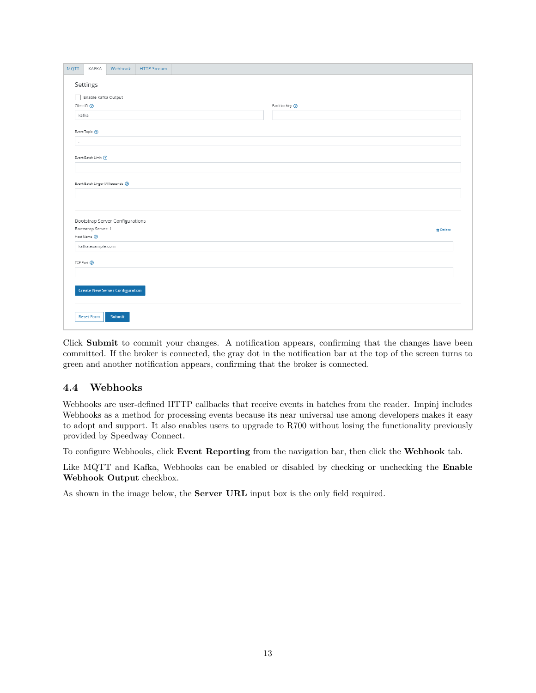<span id="page-13-0"></span>

| <b>MQTT</b><br>KAFKA<br>Webhook<br><b>HTTP Stream</b> |                   |
|-------------------------------------------------------|-------------------|
| Settings                                              |                   |
|                                                       |                   |
| Enable Kafka Output                                   |                   |
| Client ID ®                                           | Partition Key (?) |
| kafka                                                 |                   |
| Event Topic (?)                                       |                   |
| $\lambda$                                             |                   |
|                                                       |                   |
| Event Batch Limit (?)                                 |                   |
|                                                       |                   |
| Event Batch Linger Milliseconds (?)                   |                   |
|                                                       |                   |
|                                                       |                   |
|                                                       |                   |
| Bootstrap Server Configurations                       |                   |
| Bootstrap Server: 1                                   | <b>自</b> Delete   |
| Host Name <sup>(2)</sup>                              |                   |
| kafka.example.com                                     |                   |
| TCP Port <sup>2</sup>                                 |                   |
|                                                       |                   |
|                                                       |                   |
| <b>Create New Server Configuration</b>                |                   |
|                                                       |                   |
|                                                       |                   |
| <b>Reset Form</b><br>Submit                           |                   |
|                                                       |                   |

Click **Submit** to commit your changes. A notification appears, confirming that the changes have been committed. If the broker is connected, the gray dot in the notification bar at the top of the screen turns to green and another notification appears, confirming that the broker is connected.

# **4.4 Webhooks**

Webhooks are user-defined HTTP callbacks that receive events in batches from the reader. Impinj includes Webhooks as a method for processing events because its near universal use among developers makes it easy to adopt and support. It also enables users to upgrade to R700 without losing the functionality previously provided by Speedway Connect.

To configure Webhooks, click **Event Reporting** from the navigation bar, then click the **Webhook** tab.

Like MQTT and Kafka, Webhooks can be enabled or disabled by checking or unchecking the **Enable Webhook Output** checkbox.

As shown in the image below, the **Server URL** input box is the only field required.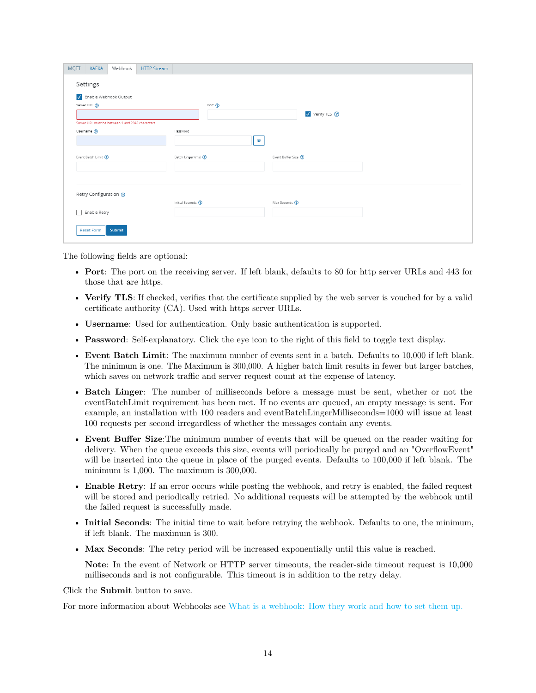<span id="page-14-0"></span>

| Settings                                         |                              |                       |  |
|--------------------------------------------------|------------------------------|-----------------------|--|
| V Enable Webhook Output                          |                              |                       |  |
| Server URL 2                                     | Port (?)                     |                       |  |
|                                                  |                              | Verify TLS ?          |  |
| Server URL must be between 1 and 2048 characters |                              |                       |  |
| Username ?                                       | Password                     | $\bullet$             |  |
| Event Batch Limit (?)                            | Batch Linger (ms) ?          | Event Buffer Size (?) |  |
| Retry Configuration ?                            |                              |                       |  |
|                                                  | Initial Seconds <sup>7</sup> | Max Seconds 2         |  |
| Enable Retry                                     |                              |                       |  |
|                                                  |                              |                       |  |

The following fields are optional:

- **Port**: The port on the receiving server. If left blank, defaults to 80 for http server URLs and 443 for those that are https.
- **Verify TLS**: If checked, verifies that the certificate supplied by the web server is vouched for by a valid certificate authority (CA). Used with https server URLs.
- **Username**: Used for authentication. Only basic authentication is supported.
- **Password**: Self-explanatory. Click the eye icon to the right of this field to toggle text display.
- **Event Batch Limit**: The maximum number of events sent in a batch. Defaults to 10,000 if left blank. The minimum is one. The Maximum is 300,000. A higher batch limit results in fewer but larger batches, which saves on network traffic and server request count at the expense of latency.
- **Batch Linger**: The number of milliseconds before a message must be sent, whether or not the eventBatchLimit requirement has been met. If no events are queued, an empty message is sent. For example, an installation with 100 readers and eventBatchLingerMilliseconds=1000 will issue at least 100 requests per second irregardless of whether the messages contain any events.
- **Event Buffer Size**:The minimum number of events that will be queued on the reader waiting for delivery. When the queue exceeds this size, events will periodically be purged and an "OverflowEvent" will be inserted into the queue in place of the purged events. Defaults to 100,000 if left blank. The minimum is 1,000. The maximum is 300,000.
- **Enable Retry**: If an error occurs while posting the webhook, and retry is enabled, the failed request will be stored and periodically retried. No additional requests will be attempted by the webhook until the failed request is successfully made.
- **Initial Seconds**: The initial time to wait before retrying the webhook. Defaults to one, the minimum, if left blank. The maximum is 300.
- **Max Seconds**: The retry period will be increased exponentially until this value is reached.

**Note**: In the event of Network or HTTP server timeouts, the reader-side timeout request is 10,000 milliseconds and is not configurable. This timeout is in addition to the retry delay.

Click the **Submit** button to save.

For more information about Webhooks see [What is a webhook: How they work and how to set them up.](https://www.getvero.com/resources/webhooks/)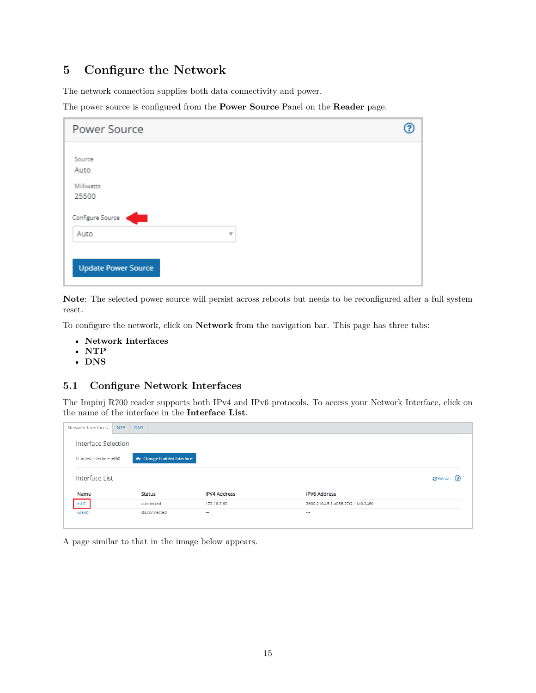# <span id="page-15-0"></span>**5 Configure the Network**

The network connection supplies both data connectivity and power.

The power source is configured from the **Power Source** Panel on the **Reader** page.

| Power Source                  |  |
|-------------------------------|--|
| Source<br>Auto                |  |
| Milliwatts<br>25500           |  |
| Configure Source<br>Auto<br>v |  |
| <b>Update Power Source</b>    |  |

**Note**: The selected power source will persist across reboots but needs to be reconfigured after a full system reset.

To configure the network, click on **Network** from the navigation bar. This page has three tabs:

- **Network Interfaces**
- **NTP**
- **DNS**

### **5.1 Configure Network Interfaces**

The Impinj R700 reader supports both IPv4 and IPv6 protocols. To access your Network Interface, click on the name of the interface in the **Interface List**.

| Network Interfaces      | NTP | <b>DNS</b> |                                        |                     |  |                                   |               |  |  |  |
|-------------------------|-----|------------|----------------------------------------|---------------------|--|-----------------------------------|---------------|--|--|--|
| Interface Selection     |     |            |                                        |                     |  |                                   |               |  |  |  |
| Enabled Interface: eth0 |     |            | <sub>පි</sub> Change Enabled Interface |                     |  |                                   |               |  |  |  |
| Interface List          |     |            |                                        |                     |  |                                   | C Refresh (?) |  |  |  |
| Name                    |     |            | Status                                 | <b>IPV4 Address</b> |  | <b>IPV6 Address</b>               |               |  |  |  |
| eth0                    |     |            | connected                              | 172.18.2.60         |  | 2600:2104:5:1:a056:27f2:11a0:2460 |               |  |  |  |
| wlan0                   |     |            | disconnected                           | $\sim$              |  | $\cdots$                          |               |  |  |  |
|                         |     |            |                                        |                     |  |                                   |               |  |  |  |

A page similar to that in the image below appears.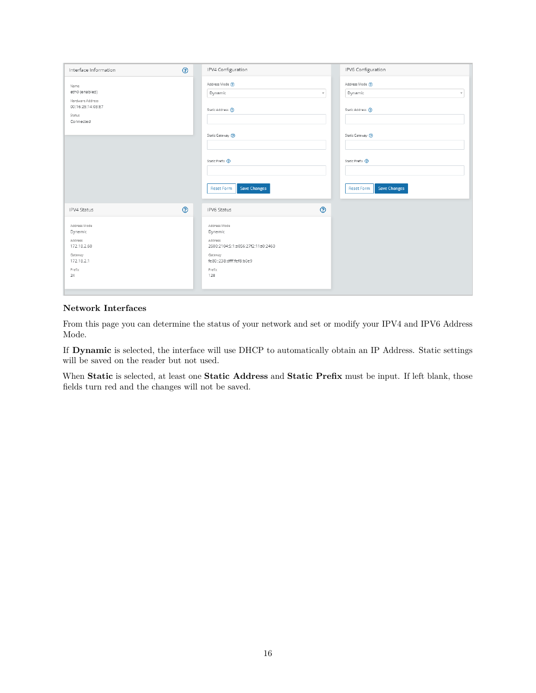| Interface Information                                                                      | $\odot$ | IPV4 Configuration                                                                                                              |                           | IPV6 Configuration                                                |
|--------------------------------------------------------------------------------------------|---------|---------------------------------------------------------------------------------------------------------------------------------|---------------------------|-------------------------------------------------------------------|
| Name<br>eth0 (enabled)<br>Hardware Address<br>00:16:25:14:03:E7<br>Status<br>Connected     |         | Address Mode (?)<br>Dynamic<br>Static Address (?)                                                                               | $\boldsymbol{\mathrm{v}}$ | Address Mode (?)<br>Dynamic<br>$\mathbf{v}$<br>Static Address (?) |
|                                                                                            |         | Static Gateway (?)                                                                                                              |                           | Static Gateway (?)                                                |
|                                                                                            |         | Static Prefix (2)                                                                                                               |                           | Static Prefix <sup>(2)</sup>                                      |
|                                                                                            |         | <b>Save Changes</b><br>Reset Form                                                                                               |                           | <b>Save Changes</b><br>Reset Form                                 |
| IPV4 Status                                                                                | $\odot$ | IPV6 Status                                                                                                                     | $\odot$                   |                                                                   |
| Address Mode<br>Dynamic<br>Address<br>172.18.2.60<br>Gateway<br>172.18.2.1<br>Prefix<br>24 |         | Address Mode<br>Dynamic<br>Address<br>2600:2104:5:1:a056:27f2:11a0:2460<br>Gateway<br>fe80::238:dfff:fef8:b0e9<br>Prefix<br>128 |                           |                                                                   |

### **Network Interfaces**

From this page you can determine the status of your network and set or modify your IPV4 and IPV6 Address Mode.

If **Dynamic** is selected, the interface will use DHCP to automatically obtain an IP Address. Static settings will be saved on the reader but not used.

When **Static** is selected, at least one **Static Address** and **Static Prefix** must be input. If left blank, those fields turn red and the changes will not be saved.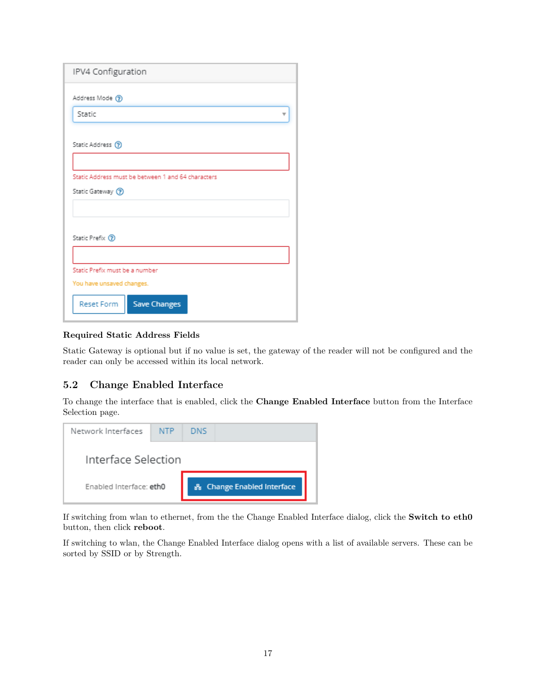<span id="page-17-0"></span>

| IPV4 Configuration                                                       |
|--------------------------------------------------------------------------|
| Address Mode (?)                                                         |
| Static                                                                   |
| Static Address (?)                                                       |
| Static Address must be between 1 and 64 characters<br>Static Gateway (?) |
|                                                                          |
| Static Prefix <sup>(2)</sup>                                             |
| Static Prefix must be a number                                           |
| You have unsaved changes.                                                |
| Reset Form<br><b>Save Changes</b>                                        |

#### **Required Static Address Fields**

Static Gateway is optional but if no value is set, the gateway of the reader will not be configured and the reader can only be accessed within its local network.

# **5.2 Change Enabled Interface**

To change the interface that is enabled, click the **Change Enabled Interface** button from the Interface Selection page.

| Network Interfaces      | <b>NTP</b> | DNS                        |
|-------------------------|------------|----------------------------|
| Interface Selection     |            |                            |
| Enabled Interface: eth0 |            | 옳 Change Enabled Interface |

If switching from wlan to ethernet, from the the Change Enabled Interface dialog, click the **Switch to eth0** button, then click **reboot**.

If switching to wlan, the Change Enabled Interface dialog opens with a list of available servers. These can be sorted by SSID or by Strength.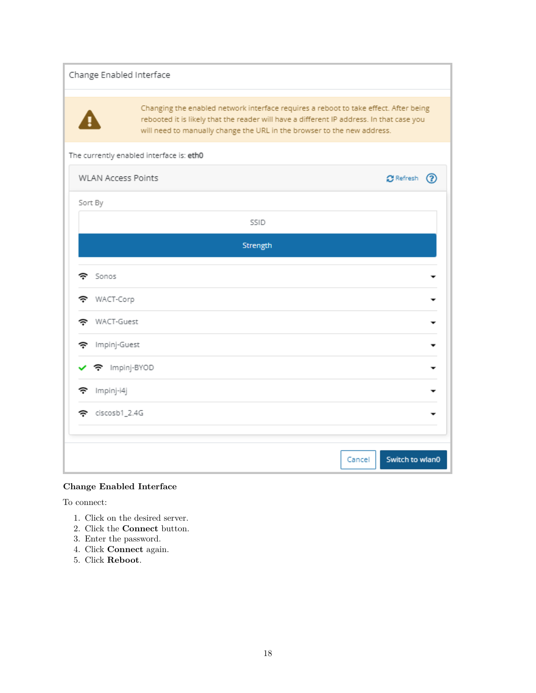| Change Enabled Interface  |                                                                         |                                                                                                                                                                                  |
|---------------------------|-------------------------------------------------------------------------|----------------------------------------------------------------------------------------------------------------------------------------------------------------------------------|
|                           | will need to manually change the URL in the browser to the new address. | Changing the enabled network interface requires a reboot to take effect. After being<br>rebooted it is likely that the reader will have a different IP address. In that case you |
|                           | The currently enabled interface is: eth0                                |                                                                                                                                                                                  |
| <b>WLAN Access Points</b> |                                                                         | $C$ Refresh $(2)$                                                                                                                                                                |
| Sort By                   |                                                                         |                                                                                                                                                                                  |
|                           | SSID                                                                    |                                                                                                                                                                                  |
|                           | Strength                                                                |                                                                                                                                                                                  |
| Sonos<br>÷                |                                                                         |                                                                                                                                                                                  |
| WACT-Corp<br>ຈ            |                                                                         |                                                                                                                                                                                  |
| WACT-Guest<br>÷           |                                                                         |                                                                                                                                                                                  |
| Impinj-Guest<br>ຈ         |                                                                         |                                                                                                                                                                                  |
| 주 Impinj-BYOD             |                                                                         |                                                                                                                                                                                  |
| Impinj-i4j<br>F           |                                                                         |                                                                                                                                                                                  |
| ciscosb1_2.4G<br>÷        |                                                                         |                                                                                                                                                                                  |
|                           |                                                                         |                                                                                                                                                                                  |
|                           |                                                                         | Switch to wlan0<br>Cancel                                                                                                                                                        |

# **Change Enabled Interface**

To connect:

- 1. Click on the desired server.
- 2. Click the **Connect** button.
- 3. Enter the password.
- 4. Click **Connect** again.
- 5. Click **Reboot**.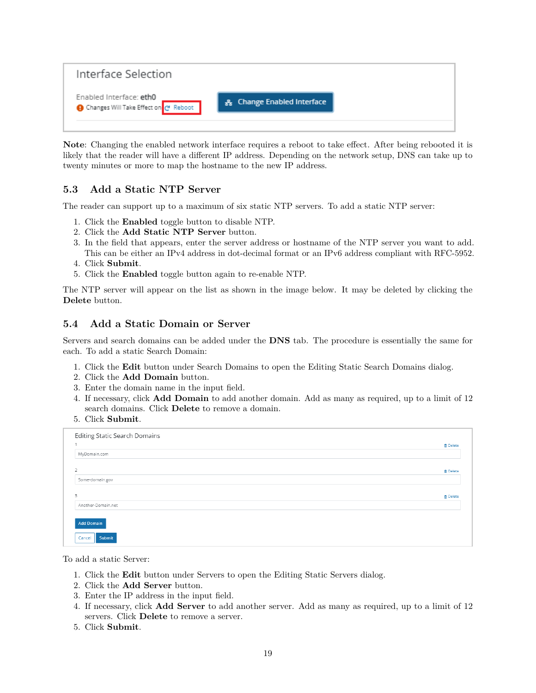<span id="page-19-0"></span>

**Note**: Changing the enabled network interface requires a reboot to take effect. After being rebooted it is likely that the reader will have a different IP address. Depending on the network setup, DNS can take up to twenty minutes or more to map the hostname to the new IP address.

# **5.3 Add a Static NTP Server**

The reader can support up to a maximum of six static NTP servers. To add a static NTP server:

- 1. Click the **Enabled** toggle button to disable NTP.
- 2. Click the **Add Static NTP Server** button.
- 3. In the field that appears, enter the server address or hostname of the NTP server you want to add. This can be either an IPv4 address in dot-decimal format or an IPv6 address compliant with RFC-5952.
- 4. Click **Submit**.
- 5. Click the **Enabled** toggle button again to re-enable NTP.

The NTP server will appear on the list as shown in the image below. It may be deleted by clicking the **Delete** button.

### **5.4 Add a Static Domain or Server**

Servers and search domains can be added under the **DNS** tab. The procedure is essentially the same for each. To add a static Search Domain:

- 1. Click the **Edit** button under Search Domains to open the Editing Static Search Domains dialog.
- 2. Click the **Add Domain** button.
- 3. Enter the domain name in the input field.
- 4. If necessary, click **Add Domain** to add another domain. Add as many as required, up to a limit of 12 search domains. Click **Delete** to remove a domain.
- 5. Click **Submit**.

| Editing Static Search Domains | <b>自</b> Delete |
|-------------------------------|-----------------|
| MyDomain.com                  |                 |
| $\overline{2}$                | <b>自</b> Delete |
| Some-domain.gov               |                 |
| 3                             | <b>n</b> Delete |
| Another-Domain.net            |                 |
| <b>Add Domain</b>             |                 |
| Submit<br>Cancel              |                 |

To add a static Server:

- 1. Click the **Edit** button under Servers to open the Editing Static Servers dialog.
- 2. Click the **Add Server** button.
- 3. Enter the IP address in the input field.
- 4. If necessary, click **Add Server** to add another server. Add as many as required, up to a limit of 12 servers. Click **Delete** to remove a server.
- 5. Click **Submit**.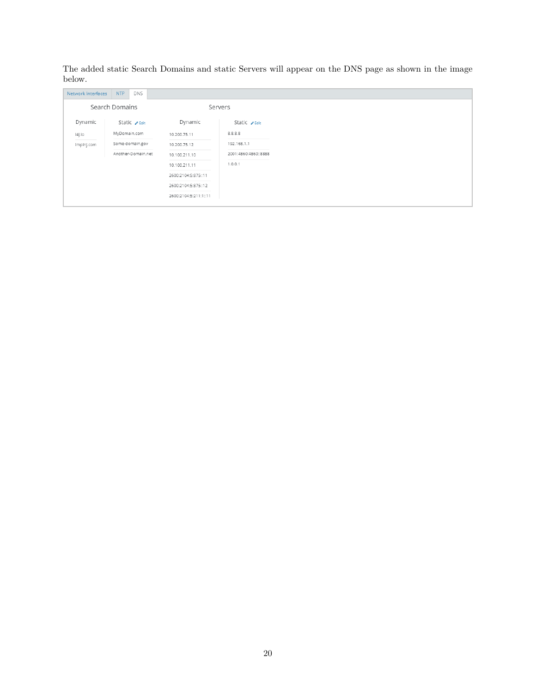<span id="page-20-0"></span>The added static Search Domains and static Servers will appear on the DNS page as shown in the image below.

| Network Interfaces | <b>NTP</b><br>DNS    |                       |                      |
|--------------------|----------------------|-----------------------|----------------------|
|                    | Search Domains       |                       | Servers              |
| Dynamic            | Static <b>∕</b> Edit | Dynamic               | Static <b>/ Edit</b> |
| i4j.io             | MyDomain.com         | 10.200.75.11          | 8.8.8.8              |
| impinj.com         | Some-domain.gov      | 10.200.75.12          | 192.168.1.1          |
|                    | Another-Domain.net   | 10.100.211.10         | 2001:4860:4860::8888 |
|                    |                      | 10.100.211.11         | 1.0.0.1              |
|                    |                      | 2600:2104:5:875::11   |                      |
|                    |                      | 2600:2104:5:875::12   |                      |
|                    |                      | 2600:2104:5:211:1::11 |                      |